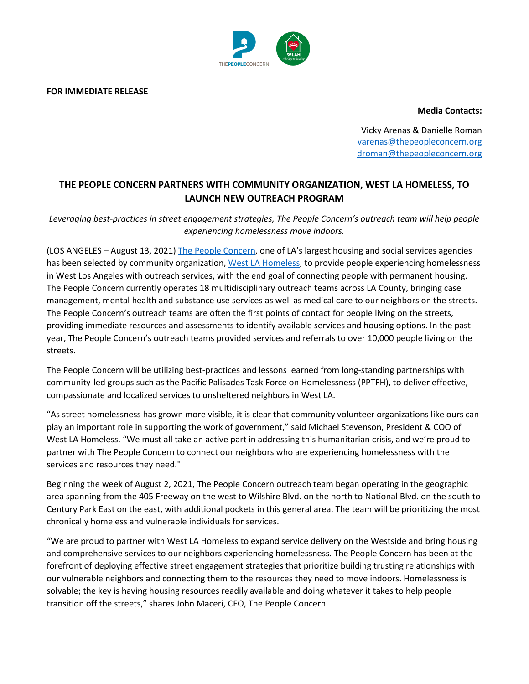

**FOR IMMEDIATE RELEASE**

**Media Contacts:**

Vicky Arenas & Danielle Roman [varenas@thepeopleconcern.org](mailto:varenas@thepeopleconcern.org) [droman@thepeopleconcern.org](mailto:droman@thepeopleconcern.org)

## **THE PEOPLE CONCERN PARTNERS WITH COMMUNITY ORGANIZATION, WEST LA HOMELESS, TO LAUNCH NEW OUTREACH PROGRAM**

*Leveraging best-practices in street engagement strategies, The People Concern's outreach team will help people experiencing homelessness move indoors.*

(LOS ANGELES – August 13, 2021) [The People Concern,](https://www.thepeopleconcern.org/) one of LA's largest housing and social services agencies has been selected by community organization, [West LA Homeless,](https://www.wlah.org/) to provide people experiencing homelessness in West Los Angeles with outreach services, with the end goal of connecting people with permanent housing. The People Concern currently operates 18 multidisciplinary outreach teams across LA County, bringing case management, mental health and substance use services as well as medical care to our neighbors on the streets. The People Concern's outreach teams are often the first points of contact for people living on the streets, providing immediate resources and assessments to identify available services and housing options. In the past year, The People Concern's outreach teams provided services and referrals to over 10,000 people living on the streets.

The People Concern will be utilizing best-practices and lessons learned from long-standing partnerships with community-led groups such as the Pacific Palisades Task Force on Homelessness (PPTFH), to deliver effective, compassionate and localized services to unsheltered neighbors in West LA.

"As street homelessness has grown more visible, it is clear that community volunteer organizations like ours can play an important role in supporting the work of government," said Michael Stevenson, President & COO of West LA Homeless. "We must all take an active part in addressing this humanitarian crisis, and we're proud to partner with The People Concern to connect our neighbors who are experiencing homelessness with the services and resources they need."

Beginning the week of August 2, 2021, The People Concern outreach team began operating in the geographic area spanning from the 405 Freeway on the west to Wilshire Blvd. on the north to National Blvd. on the south to Century Park East on the east, with additional pockets in this general area. The team will be prioritizing the most chronically homeless and vulnerable individuals for services.

"We are proud to partner with West LA Homeless to expand service delivery on the Westside and bring housing and comprehensive services to our neighbors experiencing homelessness. The People Concern has been at the forefront of deploying effective street engagement strategies that prioritize building trusting relationships with our vulnerable neighbors and connecting them to the resources they need to move indoors. Homelessness is solvable; the key is having housing resources readily available and doing whatever it takes to help people transition off the streets," shares John Maceri, CEO, The People Concern.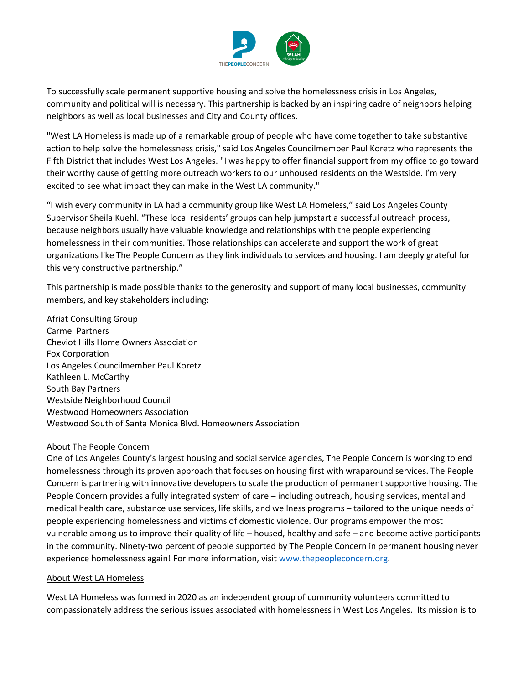

To successfully scale permanent supportive housing and solve the homelessness crisis in Los Angeles, community and political will is necessary. This partnership is backed by an inspiring cadre of neighbors helping neighbors as well as local businesses and City and County offices.

"West LA Homeless is made up of a remarkable group of people who have come together to take substantive action to help solve the homelessness crisis," said Los Angeles Councilmember Paul Koretz who represents the Fifth District that includes West Los Angeles. "I was happy to offer financial support from my office to go toward their worthy cause of getting more outreach workers to our unhoused residents on the Westside. I'm very excited to see what impact they can make in the West LA community."

"I wish every community in LA had a community group like West LA Homeless," said Los Angeles County Supervisor Sheila Kuehl. "These local residents' groups can help jumpstart a successful outreach process, because neighbors usually have valuable knowledge and relationships with the people experiencing homelessness in their communities. Those relationships can accelerate and support the work of great organizations like The People Concern as they link individuals to services and housing. I am deeply grateful for this very constructive partnership."

This partnership is made possible thanks to the generosity and support of many local businesses, community members, and key stakeholders including:

Afriat Consulting Group Carmel Partners Cheviot Hills Home Owners Association Fox Corporation Los Angeles Councilmember Paul Koretz Kathleen L. McCarthy South Bay Partners Westside Neighborhood Council Westwood Homeowners Association Westwood South of Santa Monica Blvd. Homeowners Association

## About The People Concern

One of Los Angeles County's largest housing and social service agencies, The People Concern is working to end homelessness through its proven approach that focuses on housing first with wraparound services. The People Concern is partnering with innovative developers to scale the production of permanent supportive housing. The People Concern provides a fully integrated system of care – including outreach, housing services, mental and medical health care, substance use services, life skills, and wellness programs – tailored to the unique needs of people experiencing homelessness and victims of domestic violence. Our programs empower the most vulnerable among us to improve their quality of life – housed, healthy and safe – and become active participants in the community. Ninety-two percent of people supported by The People Concern in permanent housing never experience homelessness again! For more information, visit [www.thepeopleconcern.org.](http://www.thepeopleconcern.org/)

## About West LA Homeless

West LA Homeless was formed in 2020 as an independent group of community volunteers committed to compassionately address the serious issues associated with homelessness in West Los Angeles. Its mission is to